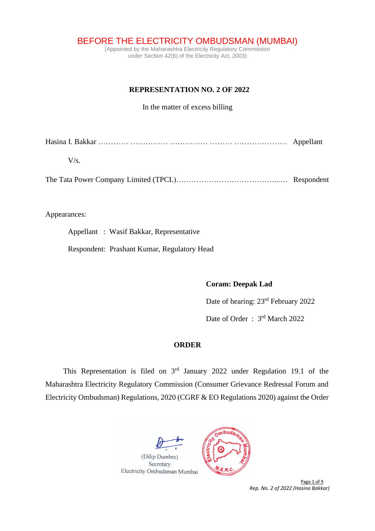BEFORE THE ELECTRICITY OMBUDSMAN (MUMBAI)

(Appointed by the Maharashtra Electricity Regulatory Commission under Section 42(6) of the Electricity Act, 2003)

## **REPRESENTATION NO. 2 OF 2022**

In the matter of excess billing

| $V/\varsigma$ |  |
|---------------|--|

The Tata Power Company Limited (TPCL)…………………………………...… Respondent

## Appearances:

Appellant : Wasif Bakkar, Representative

Respondent: Prashant Kumar, Regulatory Head

#### **Coram: Deepak Lad**

Date of hearing: 23rd February 2022

Date of Order:  $3<sup>rd</sup>$  March 2022

# **ORDER**

This Representation is filed on  $3<sup>rd</sup>$  January 2022 under Regulation 19.1 of the Maharashtra Electricity Regulatory Commission (Consumer Grievance Redressal Forum and Electricity Ombudsman) Regulations, 2020 (CGRF & EO Regulations 2020) against the Order





Page 1 of 9 *Rep. No. 2 of 2022 (Hasina Bakkar)*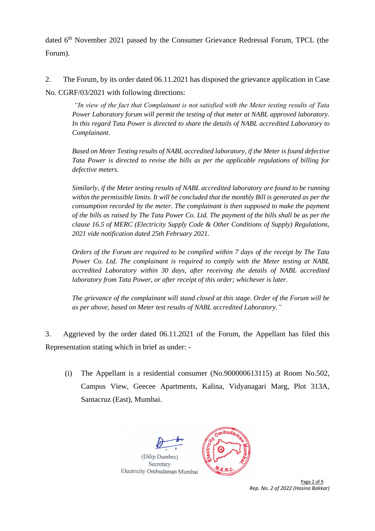dated 6<sup>th</sup> November 2021 passed by the Consumer Grievance Redressal Forum, TPCL (the Forum).

2. The Forum, by its order dated 06.11.2021 has disposed the grievance application in Case No. CGRF/03/2021 with following directions:

*"In view of the fact that Complainant is not satisfied with the Meter testing results of Tata Power Laboratory forum will permit the testing of that meter at NABL approved laboratory. In this regard Tata Power is directed to share the details of NABL accredited Laboratory to Complainant.* 

*Based on Meter Testing results of NABL accredited laboratory, if the Meter is found defective Tata Power is directed to revise the bills as per the applicable regulations of billing for defective meters.* 

*Similarly, if the Meter testing results of NABL accredited laboratory are found to be running within the permissible limits. It will be concluded that the monthly Bill is generated as per the consumption recorded by the meter. The complainant is then supposed to make the payment of the bills as raised by The Tata Power Co. Ltd. The payment of the bills shall be as per the clause 16.5 of MERC (Electricity Supply Code & Other Conditions of Supply) Regulations, 2021 vide notification dated 25th February 2021.* 

*Orders of the Forum are required to be complied within 7 days of the receipt by The Tata Power Co. Ltd. The complainant is required to comply with the Meter testing at NABL accredited Laboratory within 30 days, after receiving the details of NABL accredited laboratory from Tata Power, or after receipt of this order; whichever is later.* 

*The grievance of the complainant will stand closed at this stage. Order of the Forum will be as per above, based on Meter test results of NABL accredited Laboratory."*

3. Aggrieved by the order dated 06.11.2021 of the Forum, the Appellant has filed this Representation stating which in brief as under: -

(i) The Appellant is a residential consumer (No.900000613115) at Room No.502, Campus View, Geecee Apartments, Kalina, Vidyanagari Marg, Plot 313A, Santacruz (East), Mumbai.





Page 2 of 9 *Rep. No. 2 of 2022 (Hasina Bakkar)*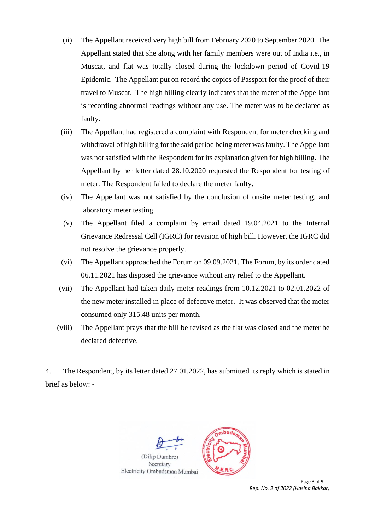- (ii) The Appellant received very high bill from February 2020 to September 2020. The Appellant stated that she along with her family members were out of India i.e., in Muscat, and flat was totally closed during the lockdown period of Covid-19 Epidemic. The Appellant put on record the copies of Passport for the proof of their travel to Muscat. The high billing clearly indicates that the meter of the Appellant is recording abnormal readings without any use. The meter was to be declared as faulty.
- (iii) The Appellant had registered a complaint with Respondent for meter checking and withdrawal of high billing for the said period being meter was faulty. The Appellant was not satisfied with the Respondent for its explanation given for high billing. The Appellant by her letter dated 28.10.2020 requested the Respondent for testing of meter. The Respondent failed to declare the meter faulty.
- (iv) The Appellant was not satisfied by the conclusion of onsite meter testing, and laboratory meter testing.
- (v) The Appellant filed a complaint by email dated 19.04.2021 to the Internal Grievance Redressal Cell (IGRC) for revision of high bill. However, the IGRC did not resolve the grievance properly.
- (vi) The Appellant approached the Forum on 09.09.2021. The Forum, by its order dated 06.11.2021 has disposed the grievance without any relief to the Appellant.
- (vii) The Appellant had taken daily meter readings from 10.12.2021 to 02.01.2022 of the new meter installed in place of defective meter. It was observed that the meter consumed only 315.48 units per month.
- (viii) The Appellant prays that the bill be revised as the flat was closed and the meter be declared defective.

4. The Respondent, by its letter dated 27.01.2022, has submitted its reply which is stated in brief as below: -





Page 3 of 9 *Rep. No. 2 of 2022 (Hasina Bakkar)*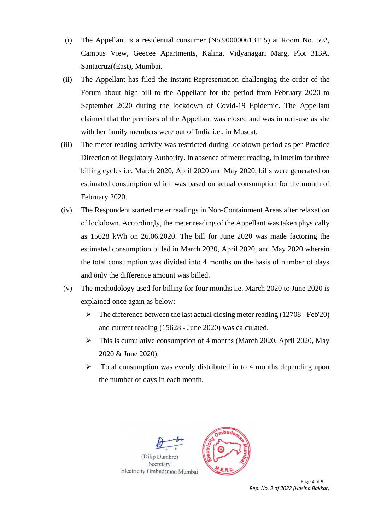- (i) The Appellant is a residential consumer (No.900000613115) at Room No. 502, Campus View, Geecee Apartments, Kalina, Vidyanagari Marg, Plot 313A, Santacruz((East), Mumbai.
- (ii) The Appellant has filed the instant Representation challenging the order of the Forum about high bill to the Appellant for the period from February 2020 to September 2020 during the lockdown of Covid-19 Epidemic. The Appellant claimed that the premises of the Appellant was closed and was in non-use as she with her family members were out of India i.e., in Muscat.
- (iii) The meter reading activity was restricted during lockdown period as per Practice Direction of Regulatory Authority. In absence of meter reading, in interim for three billing cycles i.e. March 2020, April 2020 and May 2020, bills were generated on estimated consumption which was based on actual consumption for the month of February 2020.
- (iv) The Respondent started meter readings in Non-Containment Areas after relaxation of lockdown. Accordingly, the meter reading of the Appellant was taken physically as 15628 kWh on 26.06.2020. The bill for June 2020 was made factoring the estimated consumption billed in March 2020, April 2020, and May 2020 wherein the total consumption was divided into 4 months on the basis of number of days and only the difference amount was billed.
- (v) The methodology used for billing for four months i.e. March 2020 to June 2020 is explained once again as below:
	- $\triangleright$  The difference between the last actual closing meter reading (12708 Feb'20) and current reading (15628 - June 2020) was calculated.
	- ➢ This is cumulative consumption of 4 months (March 2020, April 2020, May 2020 & June 2020).
	- ➢ Total consumption was evenly distributed in to 4 months depending upon the number of days in each month.





Page 4 of 9 *Rep. No. 2 of 2022 (Hasina Bakkar)*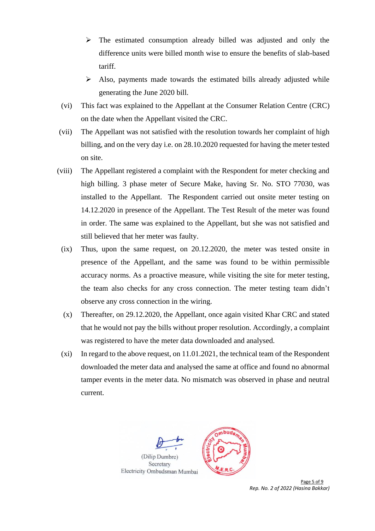- $\triangleright$  The estimated consumption already billed was adjusted and only the difference units were billed month wise to ensure the benefits of slab-based tariff.
- ➢ Also, payments made towards the estimated bills already adjusted while generating the June 2020 bill.
- (vi) This fact was explained to the Appellant at the Consumer Relation Centre (CRC) on the date when the Appellant visited the CRC.
- (vii) The Appellant was not satisfied with the resolution towards her complaint of high billing, and on the very day i.e. on 28.10.2020 requested for having the meter tested on site.
- (viii) The Appellant registered a complaint with the Respondent for meter checking and high billing. 3 phase meter of Secure Make, having Sr. No. STO 77030, was installed to the Appellant. The Respondent carried out onsite meter testing on 14.12.2020 in presence of the Appellant. The Test Result of the meter was found in order. The same was explained to the Appellant, but she was not satisfied and still believed that her meter was faulty.
	- (ix) Thus, upon the same request, on 20.12.2020, the meter was tested onsite in presence of the Appellant, and the same was found to be within permissible accuracy norms. As a proactive measure, while visiting the site for meter testing, the team also checks for any cross connection. The meter testing team didn't observe any cross connection in the wiring.
	- (x) Thereafter, on 29.12.2020, the Appellant, once again visited Khar CRC and stated that he would not pay the bills without proper resolution. Accordingly, a complaint was registered to have the meter data downloaded and analysed.
	- (xi) In regard to the above request, on 11.01.2021, the technical team of the Respondent downloaded the meter data and analysed the same at office and found no abnormal tamper events in the meter data. No mismatch was observed in phase and neutral current.





Page 5 of 9 *Rep. No. 2 of 2022 (Hasina Bakkar)*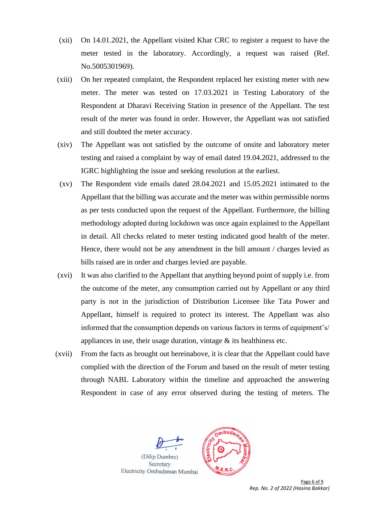- (xii) On 14.01.2021, the Appellant visited Khar CRC to register a request to have the meter tested in the laboratory. Accordingly, a request was raised (Ref. No.5005301969).
- (xiii) On her repeated complaint, the Respondent replaced her existing meter with new meter. The meter was tested on 17.03.2021 in Testing Laboratory of the Respondent at Dharavi Receiving Station in presence of the Appellant. The test result of the meter was found in order. However, the Appellant was not satisfied and still doubted the meter accuracy.
- (xiv) The Appellant was not satisfied by the outcome of onsite and laboratory meter testing and raised a complaint by way of email dated 19.04.2021, addressed to the IGRC highlighting the issue and seeking resolution at the earliest.
- (xv) The Respondent vide emails dated 28.04.2021 and 15.05.2021 intimated to the Appellant that the billing was accurate and the meter was within permissible norms as per tests conducted upon the request of the Appellant. Furthermore, the billing methodology adopted during lockdown was once again explained to the Appellant in detail. All checks related to meter testing indicated good health of the meter. Hence, there would not be any amendment in the bill amount / charges levied as bills raised are in order and charges levied are payable.
- (xvi) It was also clarified to the Appellant that anything beyond point of supply i.e. from the outcome of the meter, any consumption carried out by Appellant or any third party is not in the jurisdiction of Distribution Licensee like Tata Power and Appellant, himself is required to protect its interest. The Appellant was also informed that the consumption depends on various factors in terms of equipment's/ appliances in use, their usage duration, vintage  $\&$  its healthiness etc.
- (xvii) From the facts as brought out hereinabove, it is clear that the Appellant could have complied with the direction of the Forum and based on the result of meter testing through NABL Laboratory within the timeline and approached the answering Respondent in case of any error observed during the testing of meters. The





Page 6 of 9 *Rep. No. 2 of 2022 (Hasina Bakkar)*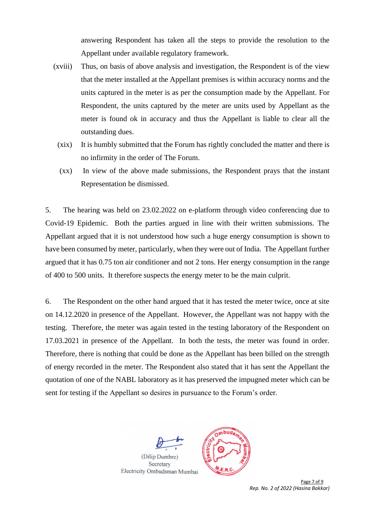answering Respondent has taken all the steps to provide the resolution to the Appellant under available regulatory framework.

- (xviii) Thus, on basis of above analysis and investigation, the Respondent is of the view that the meter installed at the Appellant premises is within accuracy norms and the units captured in the meter is as per the consumption made by the Appellant. For Respondent, the units captured by the meter are units used by Appellant as the meter is found ok in accuracy and thus the Appellant is liable to clear all the outstanding dues.
	- (xix) It is humbly submitted that the Forum has rightly concluded the matter and there is no infirmity in the order of The Forum.
	- (xx) In view of the above made submissions, the Respondent prays that the instant Representation be dismissed.

5. The hearing was held on 23.02.2022 on e-platform through video conferencing due to Covid-19 Epidemic. Both the parties argued in line with their written submissions. The Appellant argued that it is not understood how such a huge energy consumption is shown to have been consumed by meter, particularly, when they were out of India. The Appellant further argued that it has 0.75 ton air conditioner and not 2 tons. Her energy consumption in the range of 400 to 500 units. It therefore suspects the energy meter to be the main culprit.

6. The Respondent on the other hand argued that it has tested the meter twice, once at site on 14.12.2020 in presence of the Appellant. However, the Appellant was not happy with the testing. Therefore, the meter was again tested in the testing laboratory of the Respondent on 17.03.2021 in presence of the Appellant. In both the tests, the meter was found in order. Therefore, there is nothing that could be done as the Appellant has been billed on the strength of energy recorded in the meter. The Respondent also stated that it has sent the Appellant the quotation of one of the NABL laboratory as it has preserved the impugned meter which can be sent for testing if the Appellant so desires in pursuance to the Forum's order.





Page 7 of 9 *Rep. No. 2 of 2022 (Hasina Bakkar)*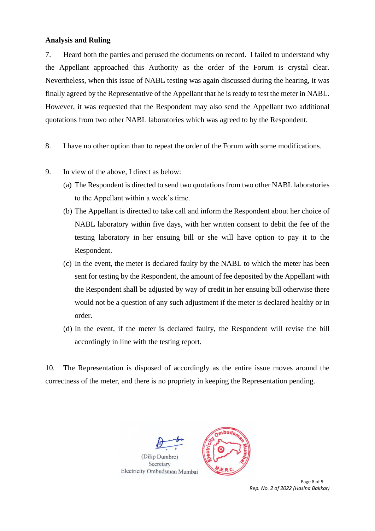## **Analysis and Ruling**

7. Heard both the parties and perused the documents on record. I failed to understand why the Appellant approached this Authority as the order of the Forum is crystal clear. Nevertheless, when this issue of NABL testing was again discussed during the hearing, it was finally agreed by the Representative of the Appellant that he is ready to test the meter in NABL. However, it was requested that the Respondent may also send the Appellant two additional quotations from two other NABL laboratories which was agreed to by the Respondent.

- 8. I have no other option than to repeat the order of the Forum with some modifications.
- 9. In view of the above, I direct as below:
	- (a) The Respondent is directed to send two quotations from two other NABL laboratories to the Appellant within a week's time.
	- (b) The Appellant is directed to take call and inform the Respondent about her choice of NABL laboratory within five days, with her written consent to debit the fee of the testing laboratory in her ensuing bill or she will have option to pay it to the Respondent.
	- (c) In the event, the meter is declared faulty by the NABL to which the meter has been sent for testing by the Respondent, the amount of fee deposited by the Appellant with the Respondent shall be adjusted by way of credit in her ensuing bill otherwise there would not be a question of any such adjustment if the meter is declared healthy or in order.
	- (d) In the event, if the meter is declared faulty, the Respondent will revise the bill accordingly in line with the testing report.

10. The Representation is disposed of accordingly as the entire issue moves around the correctness of the meter, and there is no propriety in keeping the Representation pending.





Page 8 of 9 *Rep. No. 2 of 2022 (Hasina Bakkar)*